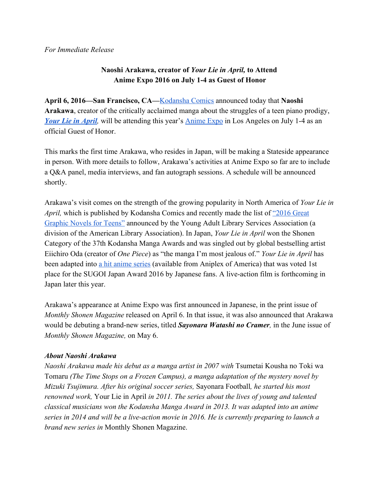## **Naoshi Arakawa, creator of** *Your Lie in April,* **to Attend Anime Expo 2016 on July 14 as Guest of Honor**

**April 6, 2016—San Francisco, CA—**[Kodansha](http://kodanshacomics.com/) Comics announced today that **Naoshi Arakawa**, creator of the critically acclaimed manga about the struggles of a teen piano prodigy, *Your Lie in [April](http://kodanshacomics.com/series/your-lie-in-april)*, will be attending this year's [Anime](http://www.anime-expo.org/) Expo in Los Angeles on July 1-4 as an official Guest of Honor.

This marks the first time Arakawa, who resides in Japan, will be making a Stateside appearance in person. With more details to follow, Arakawa's activities at Anime Expo so far are to include a Q&A panel, media interviews, and fan autograph sessions. A schedule will be announced shortly.

Arakawa's visit comes on the strength of the growing popularity in North America of *Your Lie in April*, which is published by Kodansha Comics and recently made the list of ["2016](http://www.ala.org/yalsa/2016-great-graphic-novels-teens) Great" [Graphic](http://www.ala.org/yalsa/2016-great-graphic-novels-teens) Novels for Teens" announced by the Young Adult Library Services Association (a division of the American Library Association). In Japan, *Your Lie in April* won the Shonen Category of the 37th Kodansha Manga Awards and was singled out by global bestselling artist Eiichiro Oda (creator of *One Piece*) as "the manga I'm most jealous of." *Your Lie in April* has been adapted into a hit [anime](http://www.yourlieinapril.com/) series (available from Aniplex of America) that was voted 1st place for the SUGOI Japan Award 2016 by Japanese fans. A live-action film is forthcoming in Japan later this year.

Arakawa's appearance at Anime Expo was first announced in Japanese, in the print issue of *Monthly Shonen Magazine* released on April 6. In that issue, it was also announced that Arakawa would be debuting a brand-new series, titled *Sayonara Watashi no Cramer*, in the June issue of *Monthly Shonen Magazine,* on May 6.

## *About Naoshi Arakawa*

*Naoshi Arakawa made his debut as a manga artist in 2007 with* Tsumetai Kousha no Toki wa Tomaru *(The Time Stops on a Frozen Campus), a manga adaptation of the mystery novel by Mizuki Tsujimura. After his original soccer series,* Sayonara Football*, he started his most renowned work,* Your Lie in April *in 2011. The series about the lives of young and talented classical musicians won the Kodansha Manga Award in 2013. It was adapted into an anime series* in 2014 and will be a live-action movie in 2016. He is currently preparing to launch a *brand new series in* Monthly Shonen Magazine.